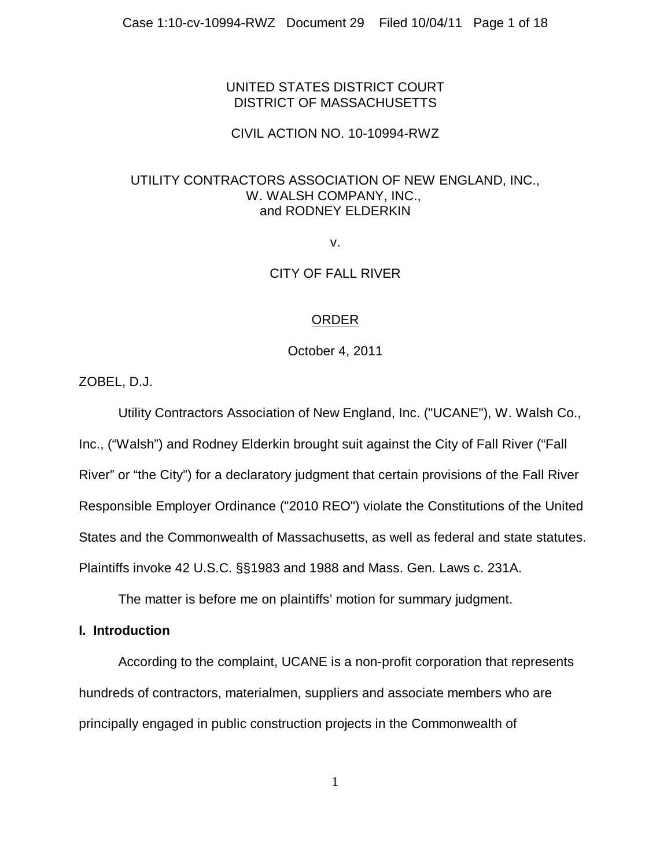# UNITED STATES DISTRICT COURT DISTRICT OF MASSACHUSETTS

## CIVIL ACTION NO. 10-10994-RWZ

## UTILITY CONTRACTORS ASSOCIATION OF NEW ENGLAND, INC., W. WALSH COMPANY, INC., and RODNEY ELDERKIN

v.

# CITY OF FALL RIVER

# ORDER

October 4, 2011

ZOBEL, D.J.

Utility Contractors Association of New England, Inc. ("UCANE"), W. Walsh Co., Inc., ("Walsh") and Rodney Elderkin brought suit against the City of Fall River ("Fall River" or "the City") for a declaratory judgment that certain provisions of the Fall River Responsible Employer Ordinance ("2010 REO") violate the Constitutions of the United States and the Commonwealth of Massachusetts, as well as federal and state statutes. Plaintiffs invoke 42 U.S.C. §§1983 and 1988 and Mass. Gen. Laws c. 231A.

The matter is before me on plaintiffs' motion for summary judgment.

## **I. Introduction**

According to the complaint, UCANE is a non-profit corporation that represents hundreds of contractors, materialmen, suppliers and associate members who are principally engaged in public construction projects in the Commonwealth of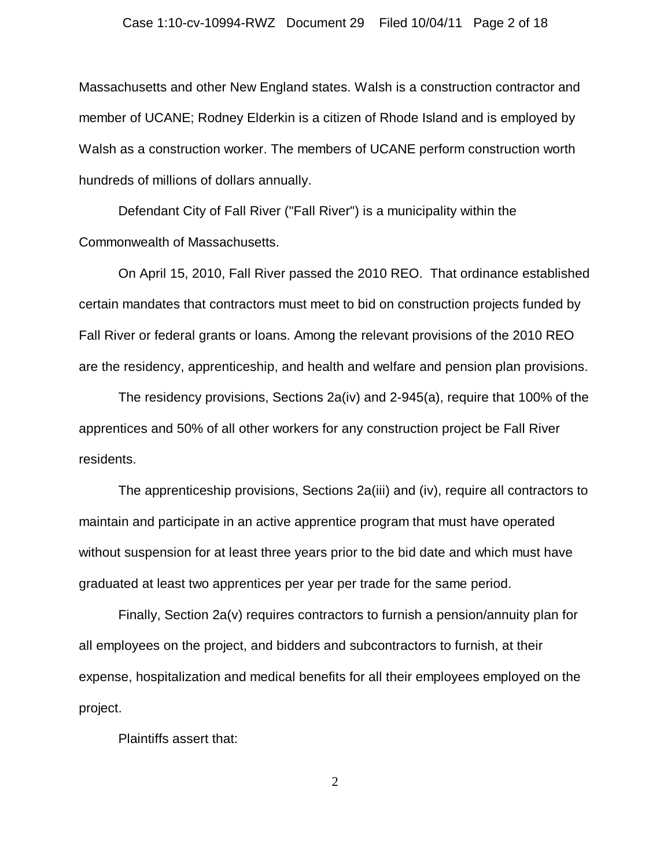### Case 1:10-cv-10994-RWZ Document 29 Filed 10/04/11 Page 2 of 18

Massachusetts and other New England states. Walsh is a construction contractor and member of UCANE; Rodney Elderkin is a citizen of Rhode Island and is employed by Walsh as a construction worker. The members of UCANE perform construction worth hundreds of millions of dollars annually.

Defendant City of Fall River ("Fall River") is a municipality within the Commonwealth of Massachusetts.

On April 15, 2010, Fall River passed the 2010 REO. That ordinance established certain mandates that contractors must meet to bid on construction projects funded by Fall River or federal grants or loans. Among the relevant provisions of the 2010 REO are the residency, apprenticeship, and health and welfare and pension plan provisions.

The residency provisions, Sections 2a(iv) and 2-945(a), require that 100% of the apprentices and 50% of all other workers for any construction project be Fall River residents.

The apprenticeship provisions, Sections 2a(iii) and (iv), require all contractors to maintain and participate in an active apprentice program that must have operated without suspension for at least three years prior to the bid date and which must have graduated at least two apprentices per year per trade for the same period.

Finally, Section 2a(v) requires contractors to furnish a pension/annuity plan for all employees on the project, and bidders and subcontractors to furnish, at their expense, hospitalization and medical benefits for all their employees employed on the project.

Plaintiffs assert that: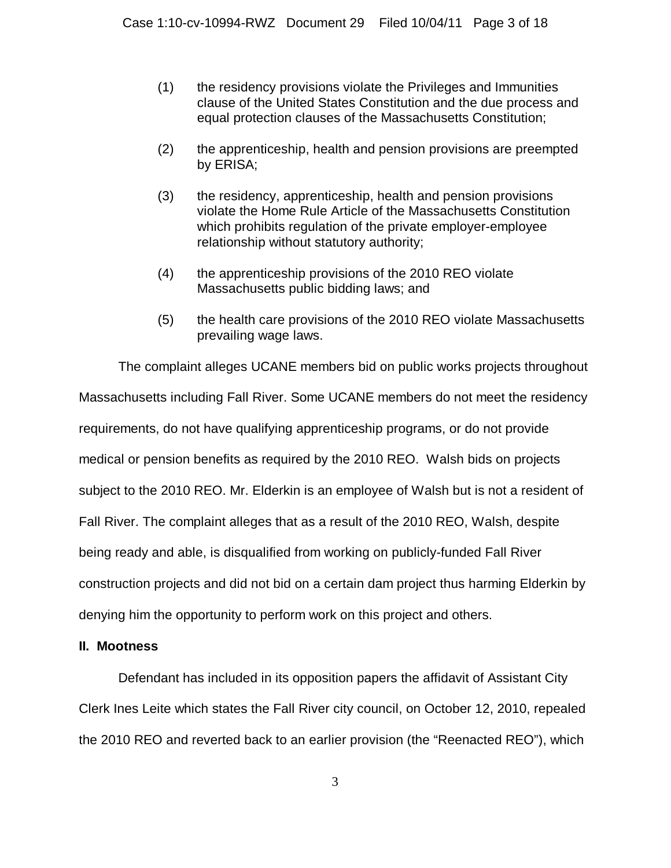- (1) the residency provisions violate the Privileges and Immunities clause of the United States Constitution and the due process and equal protection clauses of the Massachusetts Constitution;
- (2) the apprenticeship, health and pension provisions are preempted by ERISA;
- (3) the residency, apprenticeship, health and pension provisions violate the Home Rule Article of the Massachusetts Constitution which prohibits regulation of the private employer-employee relationship without statutory authority;
- (4) the apprenticeship provisions of the 2010 REO violate Massachusetts public bidding laws; and
- (5) the health care provisions of the 2010 REO violate Massachusetts prevailing wage laws.

The complaint alleges UCANE members bid on public works projects throughout Massachusetts including Fall River. Some UCANE members do not meet the residency requirements, do not have qualifying apprenticeship programs, or do not provide medical or pension benefits as required by the 2010 REO. Walsh bids on projects subject to the 2010 REO. Mr. Elderkin is an employee of Walsh but is not a resident of Fall River. The complaint alleges that as a result of the 2010 REO, Walsh, despite being ready and able, is disqualified from working on publicly-funded Fall River construction projects and did not bid on a certain dam project thus harming Elderkin by denying him the opportunity to perform work on this project and others.

# **II. Mootness**

Defendant has included in its opposition papers the affidavit of Assistant City Clerk Ines Leite which states the Fall River city council, on October 12, 2010, repealed the 2010 REO and reverted back to an earlier provision (the "Reenacted REO"), which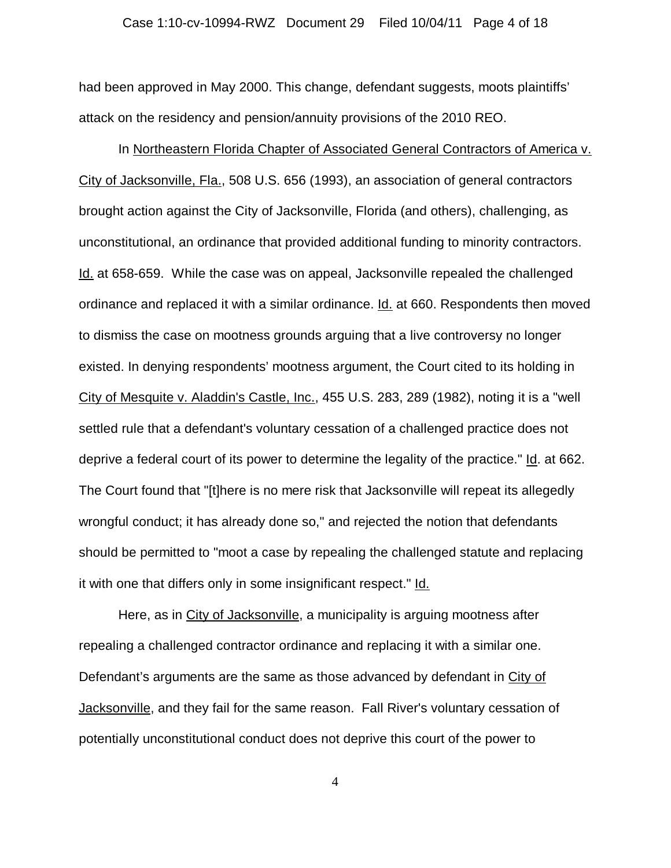### Case 1:10-cv-10994-RWZ Document 29 Filed 10/04/11 Page 4 of 18

had been approved in May 2000. This change, defendant suggests, moots plaintiffs' attack on the residency and pension/annuity provisions of the 2010 REO.

In Northeastern Florida Chapter of Associated General Contractors of America v. City of Jacksonville, Fla., 508 U.S. 656 (1993), an association of general contractors brought action against the City of Jacksonville, Florida (and others), challenging, as unconstitutional, an ordinance that provided additional funding to minority contractors. Id. at 658-659. While the case was on appeal, Jacksonville repealed the challenged ordinance and replaced it with a similar ordinance. Id. at 660. Respondents then moved to dismiss the case on mootness grounds arguing that a live controversy no longer existed. In denying respondents' mootness argument, the Court cited to its holding in City of Mesquite v. Aladdin's Castle, Inc., 455 U.S. 283, 289 (1982), noting it is a "well settled rule that a defendant's voluntary cessation of a challenged practice does not deprive a federal court of its power to determine the legality of the practice." Id. at 662. The Court found that "[t]here is no mere risk that Jacksonville will repeat its allegedly wrongful conduct; it has already done so," and rejected the notion that defendants should be permitted to "moot a case by repealing the challenged statute and replacing it with one that differs only in some insignificant respect." Id.

Here, as in City of Jacksonville, a municipality is arguing mootness after repealing a challenged contractor ordinance and replacing it with a similar one. Defendant's arguments are the same as those advanced by defendant in City of Jacksonville, and they fail for the same reason. Fall River's voluntary cessation of potentially unconstitutional conduct does not deprive this court of the power to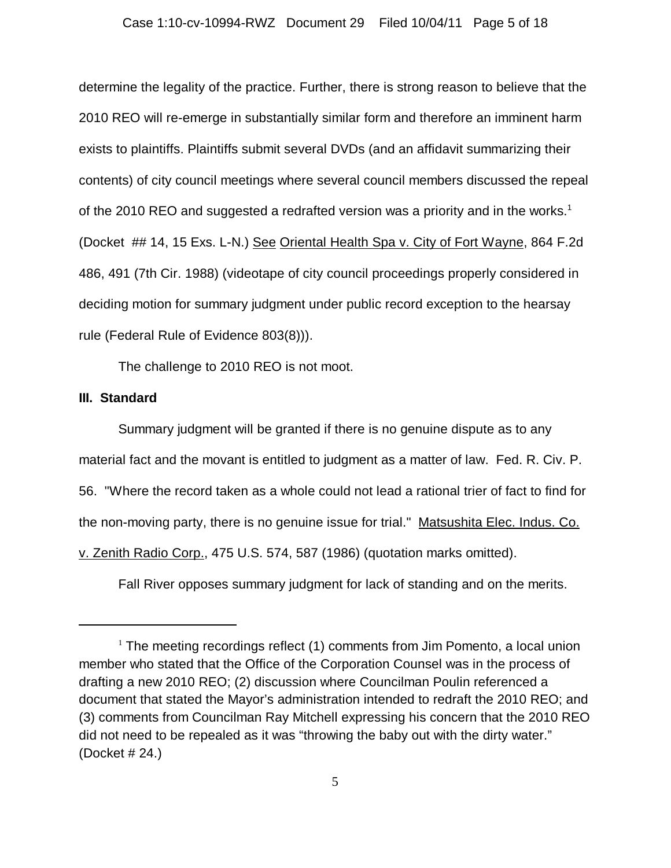### Case 1:10-cv-10994-RWZ Document 29 Filed 10/04/11 Page 5 of 18

determine the legality of the practice. Further, there is strong reason to believe that the 2010 REO will re-emerge in substantially similar form and therefore an imminent harm exists to plaintiffs. Plaintiffs submit several DVDs (and an affidavit summarizing their contents) of city council meetings where several council members discussed the repeal of the 2010 REO and suggested a redrafted version was a priority and in the works.<sup>1</sup> (Docket ## 14, 15 Exs. L-N.) See Oriental Health Spa v. City of Fort Wayne, 864 F.2d 486, 491 (7th Cir. 1988) (videotape of city council proceedings properly considered in deciding motion for summary judgment under public record exception to the hearsay rule (Federal Rule of Evidence 803(8))).

The challenge to 2010 REO is not moot.

## **III. Standard**

Summary judgment will be granted if there is no genuine dispute as to any material fact and the movant is entitled to judgment as a matter of law. Fed. R. Civ. P. 56. "Where the record taken as a whole could not lead a rational trier of fact to find for the non-moving party, there is no genuine issue for trial." Matsushita Elec. Indus. Co. v. Zenith Radio Corp., 475 U.S. 574, 587 (1986) (quotation marks omitted).

Fall River opposes summary judgment for lack of standing and on the merits.

 $1$  The meeting recordings reflect (1) comments from Jim Pomento, a local union member who stated that the Office of the Corporation Counsel was in the process of drafting a new 2010 REO; (2) discussion where Councilman Poulin referenced a document that stated the Mayor's administration intended to redraft the 2010 REO; and (3) comments from Councilman Ray Mitchell expressing his concern that the 2010 REO did not need to be repealed as it was "throwing the baby out with the dirty water." (Docket # 24.)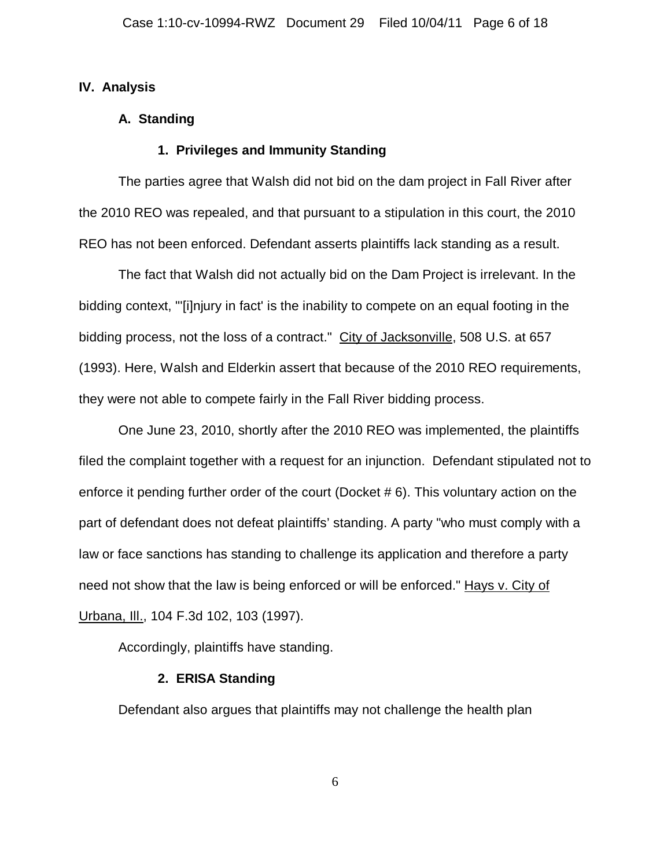## **IV. Analysis**

## **A. Standing**

## **1. Privileges and Immunity Standing**

The parties agree that Walsh did not bid on the dam project in Fall River after the 2010 REO was repealed, and that pursuant to a stipulation in this court, the 2010 REO has not been enforced. Defendant asserts plaintiffs lack standing as a result.

The fact that Walsh did not actually bid on the Dam Project is irrelevant. In the bidding context, "'[i]njury in fact' is the inability to compete on an equal footing in the bidding process, not the loss of a contract." City of Jacksonville, 508 U.S. at 657 (1993). Here, Walsh and Elderkin assert that because of the 2010 REO requirements, they were not able to compete fairly in the Fall River bidding process.

One June 23, 2010, shortly after the 2010 REO was implemented, the plaintiffs filed the complaint together with a request for an injunction. Defendant stipulated not to enforce it pending further order of the court (Docket # 6). This voluntary action on the part of defendant does not defeat plaintiffs' standing. A party "who must comply with a law or face sanctions has standing to challenge its application and therefore a party need not show that the law is being enforced or will be enforced." Hays v. City of Urbana, Ill., 104 F.3d 102, 103 (1997).

Accordingly, plaintiffs have standing.

## **2. ERISA Standing**

Defendant also argues that plaintiffs may not challenge the health plan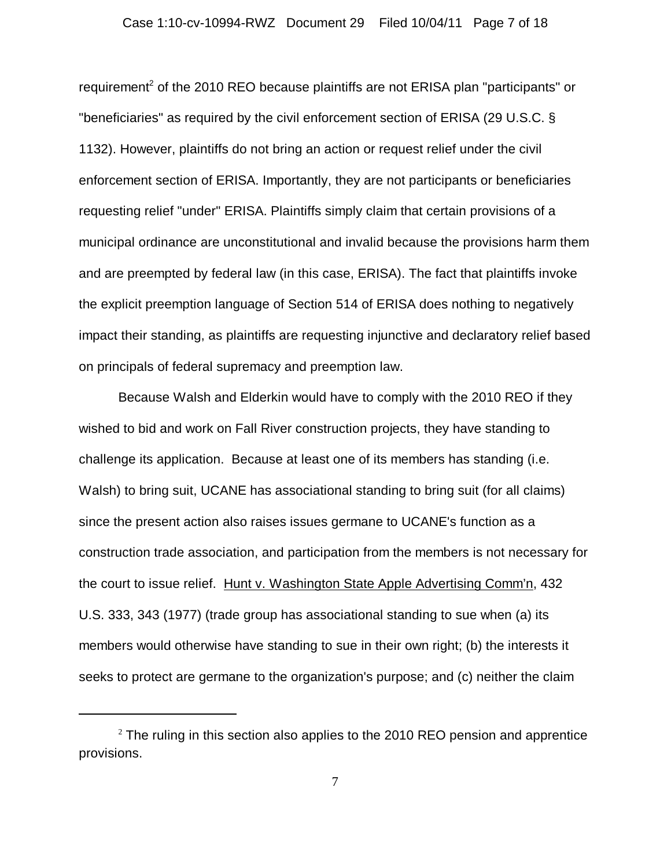requirement<sup>2</sup> of the 2010 REO because plaintiffs are not ERISA plan "participants" or "beneficiaries" as required by the civil enforcement section of ERISA (29 U.S.C. § 1132). However, plaintiffs do not bring an action or request relief under the civil enforcement section of ERISA. Importantly, they are not participants or beneficiaries requesting relief "under" ERISA. Plaintiffs simply claim that certain provisions of a municipal ordinance are unconstitutional and invalid because the provisions harm them and are preempted by federal law (in this case, ERISA). The fact that plaintiffs invoke the explicit preemption language of Section 514 of ERISA does nothing to negatively impact their standing, as plaintiffs are requesting injunctive and declaratory relief based on principals of federal supremacy and preemption law.

Because Walsh and Elderkin would have to comply with the 2010 REO if they wished to bid and work on Fall River construction projects, they have standing to challenge its application. Because at least one of its members has standing (i.e. Walsh) to bring suit, UCANE has associational standing to bring suit (for all claims) since the present action also raises issues germane to UCANE's function as a construction trade association, and participation from the members is not necessary for the court to issue relief. Hunt v. Washington State Apple Advertising Comm'n, 432 U.S. 333, 343 (1977) (trade group has associational standing to sue when (a) its members would otherwise have standing to sue in their own right; (b) the interests it seeks to protect are germane to the organization's purpose; and (c) neither the claim

 $^2$  The ruling in this section also applies to the 2010 REO pension and apprentice provisions.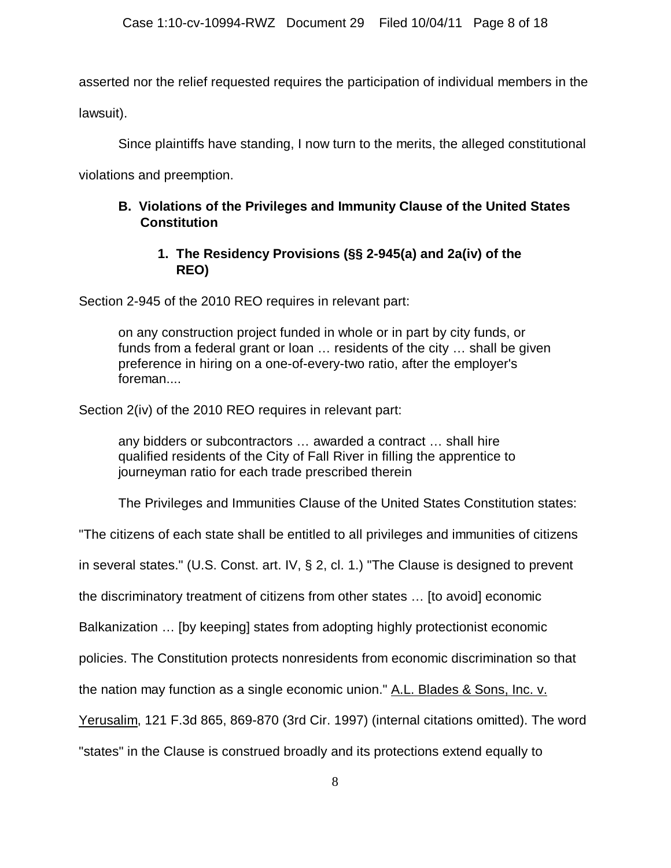asserted nor the relief requested requires the participation of individual members in the

lawsuit).

Since plaintiffs have standing, I now turn to the merits, the alleged constitutional

violations and preemption.

# **B. Violations of the Privileges and Immunity Clause of the United States Constitution**

# **1. The Residency Provisions (§§ 2-945(a) and 2a(iv) of the REO)**

Section 2-945 of the 2010 REO requires in relevant part:

on any construction project funded in whole or in part by city funds, or funds from a federal grant or loan … residents of the city … shall be given preference in hiring on a one-of-every-two ratio, after the employer's foreman....

Section 2(iv) of the 2010 REO requires in relevant part:

any bidders or subcontractors … awarded a contract … shall hire qualified residents of the City of Fall River in filling the apprentice to journeyman ratio for each trade prescribed therein

The Privileges and Immunities Clause of the United States Constitution states:

"The citizens of each state shall be entitled to all privileges and immunities of citizens

in several states." (U.S. Const. art. IV, § 2, cl. 1.) "The Clause is designed to prevent

the discriminatory treatment of citizens from other states … [to avoid] economic

Balkanization … [by keeping] states from adopting highly protectionist economic

policies. The Constitution protects nonresidents from economic discrimination so that

the nation may function as a single economic union." A.L. Blades & Sons, Inc. v.

Yerusalim, 121 F.3d 865, 869-870 (3rd Cir. 1997) (internal citations omitted). The word

"states" in the Clause is construed broadly and its protections extend equally to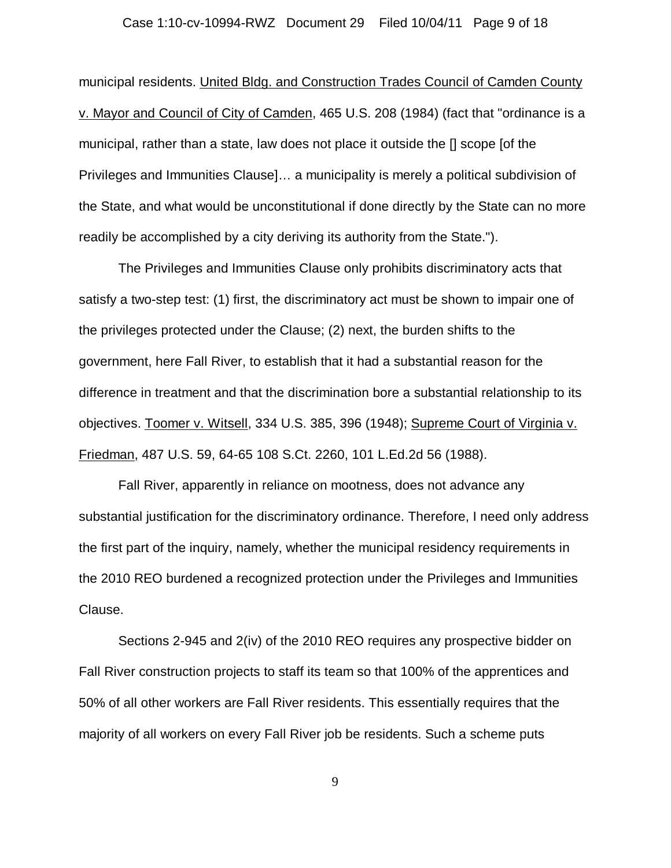### Case 1:10-cv-10994-RWZ Document 29 Filed 10/04/11 Page 9 of 18

municipal residents. United Bldg. and Construction Trades Council of Camden County v. Mayor and Council of City of Camden, 465 U.S. 208 (1984) (fact that "ordinance is a municipal, rather than a state, law does not place it outside the [] scope [of the Privileges and Immunities Clause]… a municipality is merely a political subdivision of the State, and what would be unconstitutional if done directly by the State can no more readily be accomplished by a city deriving its authority from the State.").

The Privileges and Immunities Clause only prohibits discriminatory acts that satisfy a two-step test: (1) first, the discriminatory act must be shown to impair one of the privileges protected under the Clause; (2) next, the burden shifts to the government, here Fall River, to establish that it had a substantial reason for the difference in treatment and that the discrimination bore a substantial relationship to its objectives. Toomer v. Witsell, 334 U.S. 385, 396 (1948); Supreme Court of Virginia v. Friedman, 487 U.S. 59, 64-65 108 S.Ct. 2260, 101 L.Ed.2d 56 (1988).

Fall River, apparently in reliance on mootness, does not advance any substantial justification for the discriminatory ordinance. Therefore, I need only address the first part of the inquiry, namely, whether the municipal residency requirements in the 2010 REO burdened a recognized protection under the Privileges and Immunities Clause.

Sections 2-945 and 2(iv) of the 2010 REO requires any prospective bidder on Fall River construction projects to staff its team so that 100% of the apprentices and 50% of all other workers are Fall River residents. This essentially requires that the majority of all workers on every Fall River job be residents. Such a scheme puts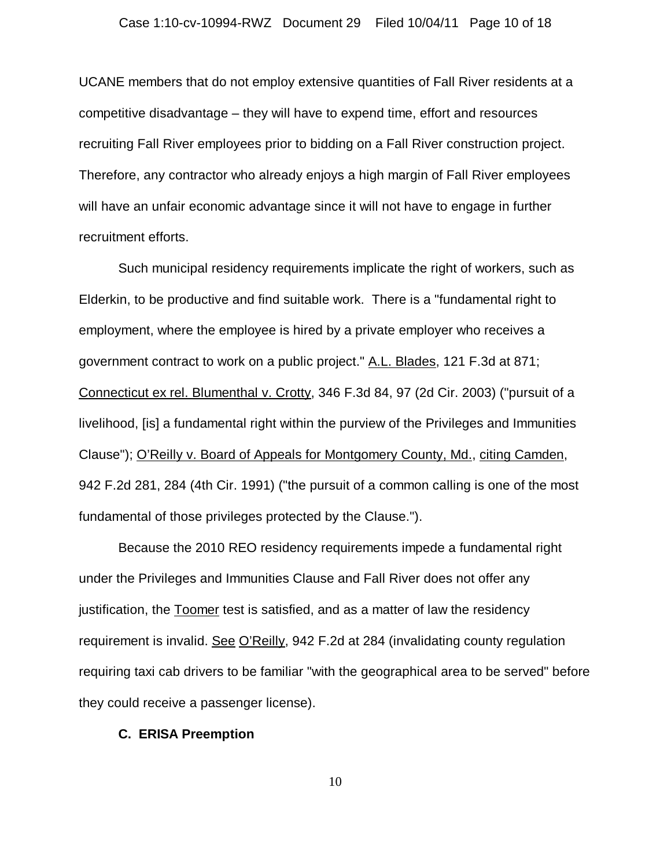### Case 1:10-cv-10994-RWZ Document 29 Filed 10/04/11 Page 10 of 18

UCANE members that do not employ extensive quantities of Fall River residents at a competitive disadvantage – they will have to expend time, effort and resources recruiting Fall River employees prior to bidding on a Fall River construction project. Therefore, any contractor who already enjoys a high margin of Fall River employees will have an unfair economic advantage since it will not have to engage in further recruitment efforts.

Such municipal residency requirements implicate the right of workers, such as Elderkin, to be productive and find suitable work. There is a "fundamental right to employment, where the employee is hired by a private employer who receives a government contract to work on a public project." A.L. Blades, 121 F.3d at 871; Connecticut ex rel. Blumenthal v. Crotty, 346 F.3d 84, 97 (2d Cir. 2003) ("pursuit of a livelihood, [is] a fundamental right within the purview of the Privileges and Immunities Clause"); O'Reilly v. Board of Appeals for Montgomery County, Md., citing Camden, 942 F.2d 281, 284 (4th Cir. 1991) ("the pursuit of a common calling is one of the most fundamental of those privileges protected by the Clause.").

Because the 2010 REO residency requirements impede a fundamental right under the Privileges and Immunities Clause and Fall River does not offer any justification, the Toomer test is satisfied, and as a matter of law the residency requirement is invalid. See O'Reilly, 942 F.2d at 284 (invalidating county regulation requiring taxi cab drivers to be familiar "with the geographical area to be served" before they could receive a passenger license).

### **C. ERISA Preemption**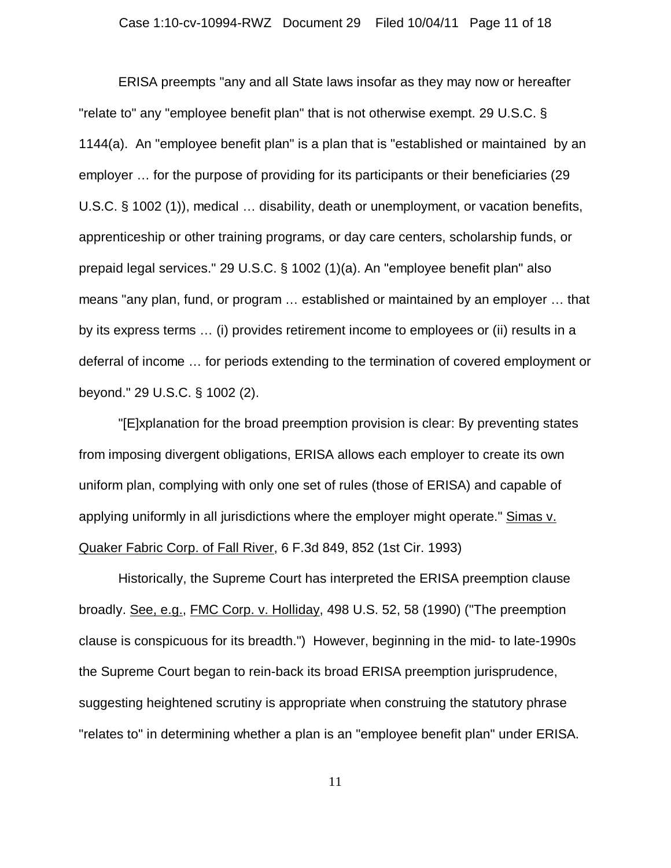### Case 1:10-cv-10994-RWZ Document 29 Filed 10/04/11 Page 11 of 18

ERISA preempts "any and all State laws insofar as they may now or hereafter "relate to" any "employee benefit plan" that is not otherwise exempt. 29 U.S.C. § 1144(a). An "employee benefit plan" is a plan that is "established or maintained by an employer … for the purpose of providing for its participants or their beneficiaries (29 U.S.C. § 1002 (1)), medical … disability, death or unemployment, or vacation benefits, apprenticeship or other training programs, or day care centers, scholarship funds, or prepaid legal services." 29 U.S.C. § 1002 (1)(a). An "employee benefit plan" also means "any plan, fund, or program … established or maintained by an employer … that by its express terms … (i) provides retirement income to employees or (ii) results in a deferral of income … for periods extending to the termination of covered employment or beyond." 29 U.S.C. § 1002 (2).

"[E]xplanation for the broad preemption provision is clear: By preventing states from imposing divergent obligations, ERISA allows each employer to create its own uniform plan, complying with only one set of rules (those of ERISA) and capable of applying uniformly in all jurisdictions where the employer might operate." Simas v. Quaker Fabric Corp. of Fall River, 6 F.3d 849, 852 (1st Cir. 1993)

Historically, the Supreme Court has interpreted the ERISA preemption clause broadly. See, e.g., FMC Corp. v. Holliday, 498 U.S. 52, 58 (1990) ("The preemption clause is conspicuous for its breadth.") However, beginning in the mid- to late-1990s the Supreme Court began to rein-back its broad ERISA preemption jurisprudence, suggesting heightened scrutiny is appropriate when construing the statutory phrase "relates to" in determining whether a plan is an "employee benefit plan" under ERISA.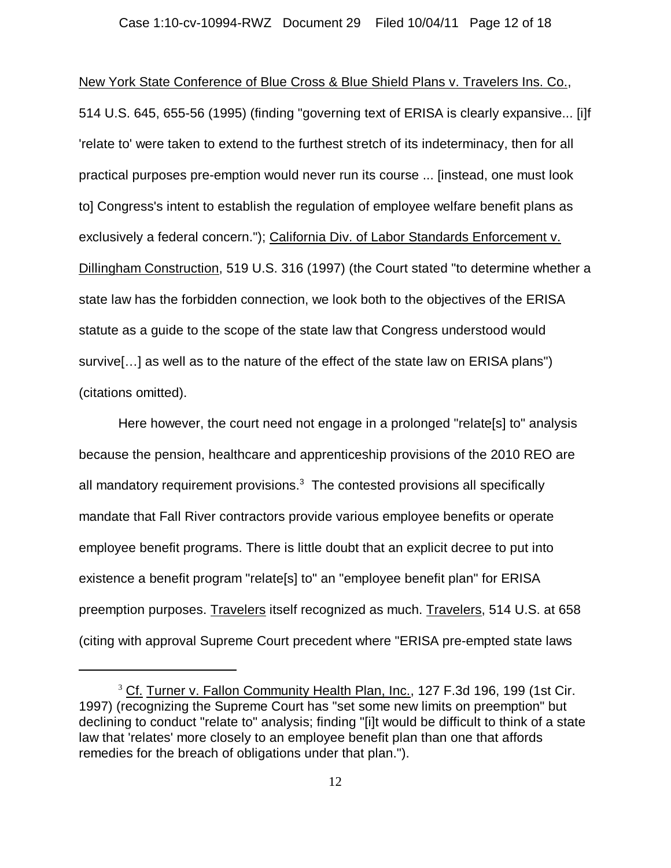New York State Conference of Blue Cross & Blue Shield Plans v. Travelers Ins. Co., 514 U.S. 645, 655-56 (1995) (finding "governing text of ERISA is clearly expansive... [i]f 'relate to' were taken to extend to the furthest stretch of its indeterminacy, then for all practical purposes pre-emption would never run its course ... [instead, one must look to] Congress's intent to establish the regulation of employee welfare benefit plans as exclusively a federal concern."); California Div. of Labor Standards Enforcement v. Dillingham Construction, 519 U.S. 316 (1997) (the Court stated "to determine whether a state law has the forbidden connection, we look both to the objectives of the ERISA statute as a guide to the scope of the state law that Congress understood would survive[…] as well as to the nature of the effect of the state law on ERISA plans") (citations omitted).

Here however, the court need not engage in a prolonged "relate[s] to" analysis because the pension, healthcare and apprenticeship provisions of the 2010 REO are all mandatory requirement provisions. $3$  The contested provisions all specifically mandate that Fall River contractors provide various employee benefits or operate employee benefit programs. There is little doubt that an explicit decree to put into existence a benefit program "relate[s] to" an "employee benefit plan" for ERISA preemption purposes. Travelers itself recognized as much. Travelers, 514 U.S. at 658 (citing with approval Supreme Court precedent where "ERISA pre-empted state laws

<sup>&</sup>lt;sup>3</sup> Cf. Turner v. Fallon Community Health Plan, Inc., 127 F.3d 196, 199 (1st Cir. 1997) (recognizing the Supreme Court has "set some new limits on preemption" but declining to conduct "relate to" analysis; finding "[i]t would be difficult to think of a state law that 'relates' more closely to an employee benefit plan than one that affords remedies for the breach of obligations under that plan.").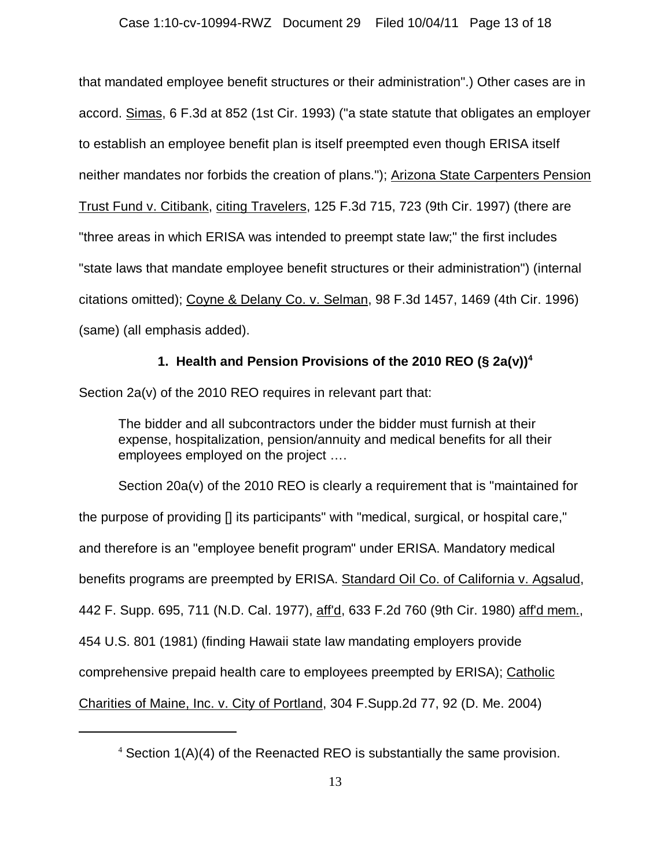## Case 1:10-cv-10994-RWZ Document 29 Filed 10/04/11 Page 13 of 18

that mandated employee benefit structures or their administration".) Other cases are in accord. Simas, 6 F.3d at 852 (1st Cir. 1993) ("a state statute that obligates an employer to establish an employee benefit plan is itself preempted even though ERISA itself neither mandates nor forbids the creation of plans."); Arizona State Carpenters Pension Trust Fund v. Citibank, citing Travelers, 125 F.3d 715, 723 (9th Cir. 1997) (there are "three areas in which ERISA was intended to preempt state law;" the first includes "state laws that mandate employee benefit structures or their administration") (internal citations omitted); Coyne & Delany Co. v. Selman, 98 F.3d 1457, 1469 (4th Cir. 1996) (same) (all emphasis added).

# **1. Health and Pension Provisions of the 2010 REO (§ 2a(v))<sup>4</sup>**

Section 2a(v) of the 2010 REO requires in relevant part that:

The bidder and all subcontractors under the bidder must furnish at their expense, hospitalization, pension/annuity and medical benefits for all their employees employed on the project ….

Section 20a(v) of the 2010 REO is clearly a requirement that is "maintained for the purpose of providing [] its participants" with "medical, surgical, or hospital care," and therefore is an "employee benefit program" under ERISA. Mandatory medical benefits programs are preempted by ERISA. Standard Oil Co. of California v. Agsalud, 442 F. Supp. 695, 711 (N.D. Cal. 1977), aff'd, 633 F.2d 760 (9th Cir. 1980) aff'd mem., 454 U.S. 801 (1981) (finding Hawaii state law mandating employers provide comprehensive prepaid health care to employees preempted by ERISA); Catholic Charities of Maine, Inc. v. City of Portland, 304 F.Supp.2d 77, 92 (D. Me. 2004)

 $4$  Section 1(A)(4) of the Reenacted REO is substantially the same provision.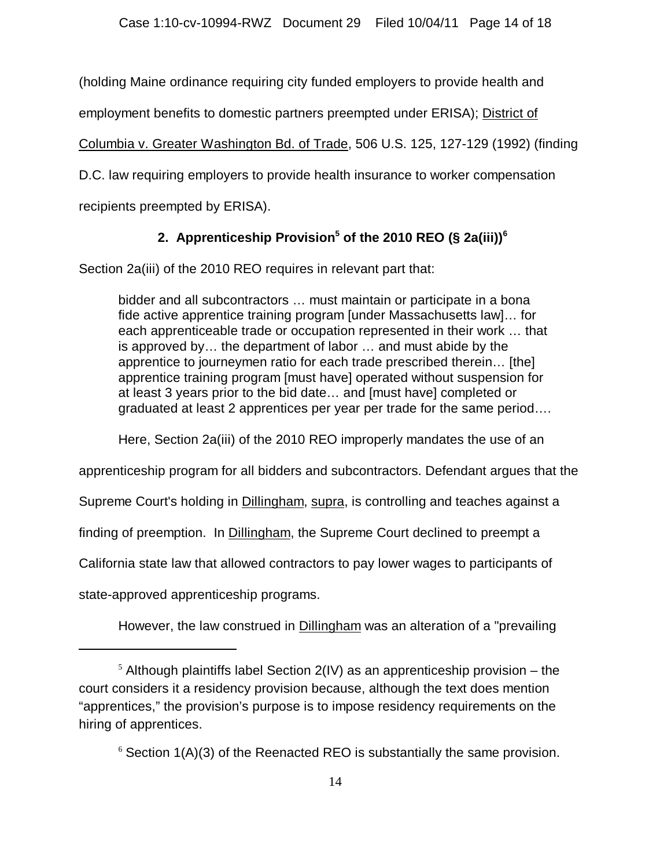(holding Maine ordinance requiring city funded employers to provide health and

employment benefits to domestic partners preempted under ERISA); District of

Columbia v. Greater Washington Bd. of Trade, 506 U.S. 125, 127-129 (1992) (finding

D.C. law requiring employers to provide health insurance to worker compensation

recipients preempted by ERISA).

# 2. Apprenticeship Provision<sup>5</sup> of the 2010 REO (§ 2a(iii))<sup>6</sup>

Section 2a(iii) of the 2010 REO requires in relevant part that:

bidder and all subcontractors … must maintain or participate in a bona fide active apprentice training program [under Massachusetts law]… for each apprenticeable trade or occupation represented in their work … that is approved by… the department of labor … and must abide by the apprentice to journeymen ratio for each trade prescribed therein… [the] apprentice training program [must have] operated without suspension for at least 3 years prior to the bid date… and [must have] completed or graduated at least 2 apprentices per year per trade for the same period….

Here, Section 2a(iii) of the 2010 REO improperly mandates the use of an

apprenticeship program for all bidders and subcontractors. Defendant argues that the

Supreme Court's holding in **Dillingham, supra, is controlling and teaches against a** 

finding of preemption. In Dillingham, the Supreme Court declined to preempt a

California state law that allowed contractors to pay lower wages to participants of

state-approved apprenticeship programs.

However, the law construed in Dillingham was an alteration of a "prevailing"

 $5$  Although plaintiffs label Section 2(IV) as an apprenticeship provision – the court considers it a residency provision because, although the text does mention "apprentices," the provision's purpose is to impose residency requirements on the hiring of apprentices.

 $6$  Section 1(A)(3) of the Reenacted REO is substantially the same provision.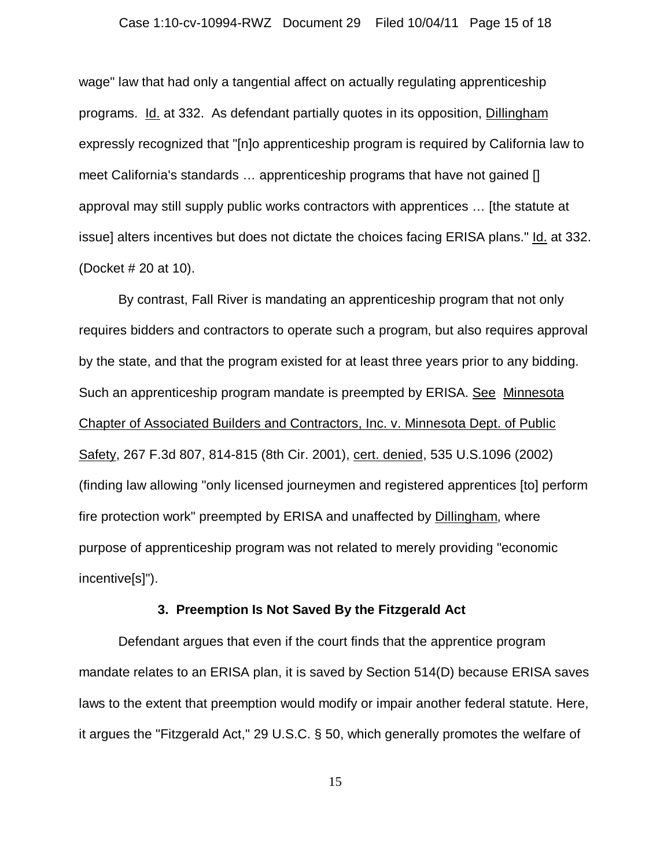### Case 1:10-cv-10994-RWZ Document 29 Filed 10/04/11 Page 15 of 18

wage" law that had only a tangential affect on actually regulating apprenticeship programs. Id. at 332. As defendant partially quotes in its opposition, Dillingham expressly recognized that "[n]o apprenticeship program is required by California law to meet California's standards … apprenticeship programs that have not gained [] approval may still supply public works contractors with apprentices … [the statute at issue] alters incentives but does not dictate the choices facing ERISA plans." Id. at 332. (Docket # 20 at 10).

By contrast, Fall River is mandating an apprenticeship program that not only requires bidders and contractors to operate such a program, but also requires approval by the state, and that the program existed for at least three years prior to any bidding. Such an apprenticeship program mandate is preempted by ERISA. See Minnesota Chapter of Associated Builders and Contractors, Inc. v. Minnesota Dept. of Public Safety, 267 F.3d 807, 814-815 (8th Cir. 2001), cert. denied, 535 U.S.1096 (2002) (finding law allowing "only licensed journeymen and registered apprentices [to] perform fire protection work" preempted by ERISA and unaffected by Dillingham, where purpose of apprenticeship program was not related to merely providing "economic incentive[s]").

## **3. Preemption Is Not Saved By the Fitzgerald Act**

Defendant argues that even if the court finds that the apprentice program mandate relates to an ERISA plan, it is saved by Section 514(D) because ERISA saves laws to the extent that preemption would modify or impair another federal statute. Here, it argues the "Fitzgerald Act," 29 U.S.C. § 50, which generally promotes the welfare of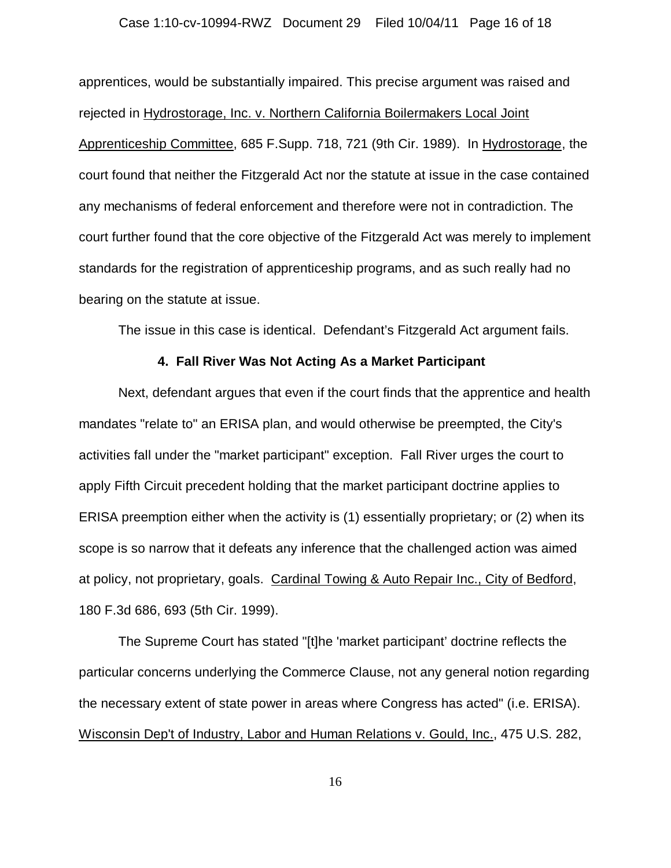### Case 1:10-cv-10994-RWZ Document 29 Filed 10/04/11 Page 16 of 18

apprentices, would be substantially impaired. This precise argument was raised and rejected in Hydrostorage, Inc. v. Northern California Boilermakers Local Joint Apprenticeship Committee, 685 F.Supp. 718, 721 (9th Cir. 1989). In Hydrostorage, the court found that neither the Fitzgerald Act nor the statute at issue in the case contained any mechanisms of federal enforcement and therefore were not in contradiction. The court further found that the core objective of the Fitzgerald Act was merely to implement standards for the registration of apprenticeship programs, and as such really had no bearing on the statute at issue.

The issue in this case is identical. Defendant's Fitzgerald Act argument fails.

## **4. Fall River Was Not Acting As a Market Participant**

Next, defendant argues that even if the court finds that the apprentice and health mandates "relate to" an ERISA plan, and would otherwise be preempted, the City's activities fall under the "market participant" exception. Fall River urges the court to apply Fifth Circuit precedent holding that the market participant doctrine applies to ERISA preemption either when the activity is (1) essentially proprietary; or (2) when its scope is so narrow that it defeats any inference that the challenged action was aimed at policy, not proprietary, goals. Cardinal Towing & Auto Repair Inc., City of Bedford, 180 F.3d 686, 693 (5th Cir. 1999).

The Supreme Court has stated "[t]he 'market participant' doctrine reflects the particular concerns underlying the Commerce Clause, not any general notion regarding the necessary extent of state power in areas where Congress has acted" (i.e. ERISA). Wisconsin Dep't of Industry, Labor and Human Relations v. Gould, Inc., 475 U.S. 282,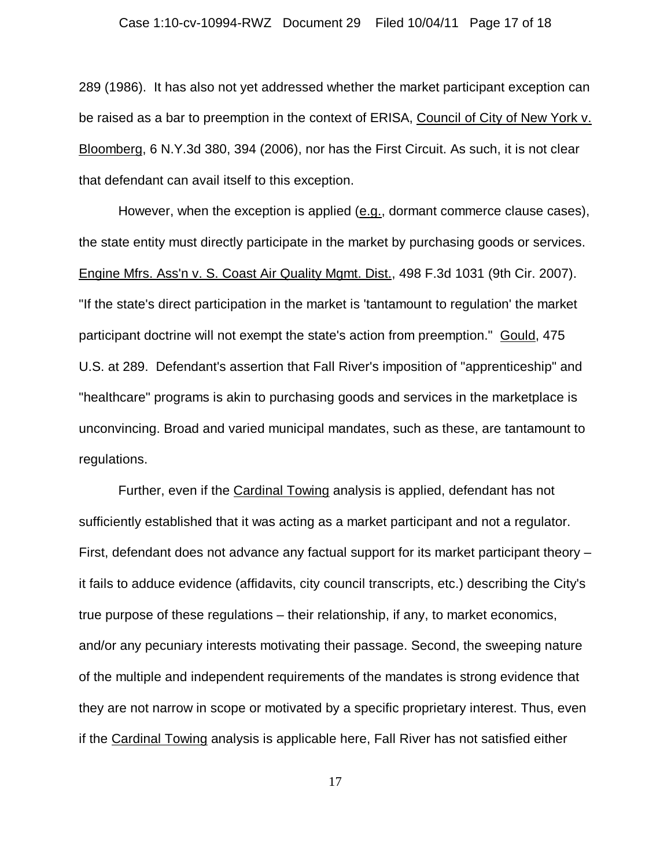289 (1986). It has also not yet addressed whether the market participant exception can be raised as a bar to preemption in the context of ERISA, Council of City of New York v. Bloomberg, 6 N.Y.3d 380, 394 (2006), nor has the First Circuit. As such, it is not clear that defendant can avail itself to this exception.

However, when the exception is applied (e.g., dormant commerce clause cases), the state entity must directly participate in the market by purchasing goods or services. Engine Mfrs. Ass'n v. S. Coast Air Quality Mgmt. Dist., 498 F.3d 1031 (9th Cir. 2007). "If the state's direct participation in the market is 'tantamount to regulation' the market participant doctrine will not exempt the state's action from preemption." Gould, 475 U.S. at 289. Defendant's assertion that Fall River's imposition of "apprenticeship" and "healthcare" programs is akin to purchasing goods and services in the marketplace is unconvincing. Broad and varied municipal mandates, such as these, are tantamount to regulations.

Further, even if the Cardinal Towing analysis is applied, defendant has not sufficiently established that it was acting as a market participant and not a regulator. First, defendant does not advance any factual support for its market participant theory – it fails to adduce evidence (affidavits, city council transcripts, etc.) describing the City's true purpose of these regulations – their relationship, if any, to market economics, and/or any pecuniary interests motivating their passage. Second, the sweeping nature of the multiple and independent requirements of the mandates is strong evidence that they are not narrow in scope or motivated by a specific proprietary interest. Thus, even if the Cardinal Towing analysis is applicable here, Fall River has not satisfied either